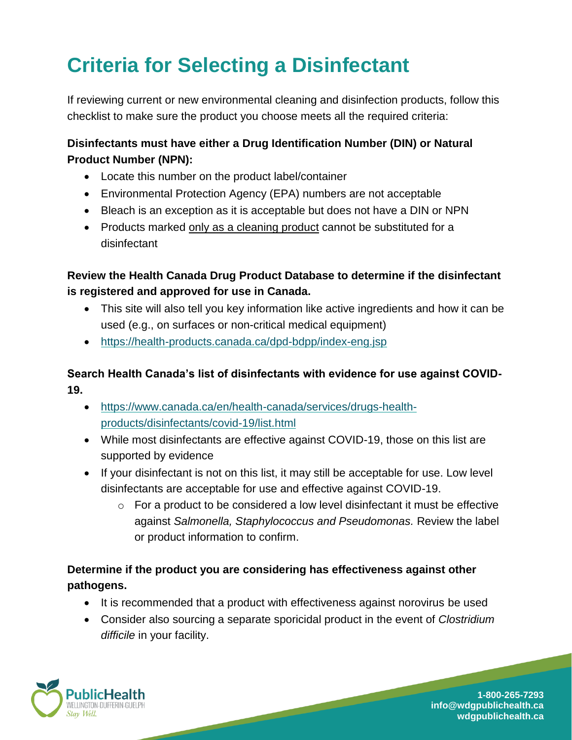# **Criteria for Selecting a Disinfectant**

If reviewing current or new environmental cleaning and disinfection products, follow this checklist to make sure the product you choose meets all the required criteria:

#### **Disinfectants must have either a Drug Identification Number (DIN) or Natural Product Number (NPN):**

- Locate this number on the product label/container
- Environmental Protection Agency (EPA) numbers are not acceptable
- Bleach is an exception as it is acceptable but does not have a DIN or NPN
- Products marked only as a cleaning product cannot be substituted for a disinfectant

# **Review the Health Canada Drug Product Database to determine if the disinfectant is registered and approved for use in Canada.**

- This site will also tell you key information like active ingredients and how it can be used (e.g., on surfaces or non-critical medical equipment)
- <https://health-products.canada.ca/dpd-bdpp/index-eng.jsp>

### **Search Health Canada's list of disinfectants with evidence for use against COVID-19.**

- [https://www.canada.ca/en/health-canada/services/drugs-health](https://www.canada.ca/en/health-canada/services/drugs-health-products/disinfectants/covid-19/list.html)[products/disinfectants/covid-19/list.html](https://www.canada.ca/en/health-canada/services/drugs-health-products/disinfectants/covid-19/list.html)
- While most disinfectants are effective against COVID-19, those on this list are supported by evidence
- If your disinfectant is not on this list, it may still be acceptable for use. Low level disinfectants are acceptable for use and effective against COVID-19.
	- $\circ$  For a product to be considered a low level disinfectant it must be effective against *Salmonella, Staphylococcus and Pseudomonas.* Review the label or product information to confirm.

# **Determine if the product you are considering has effectiveness against other pathogens.**

- It is recommended that a product with effectiveness against norovirus be used
- Consider also sourcing a separate sporicidal product in the event of *Clostridium difficile* in your facility.



**1-800-265-7293 info@wdgpublichealth.ca wdgpublichealth.ca**